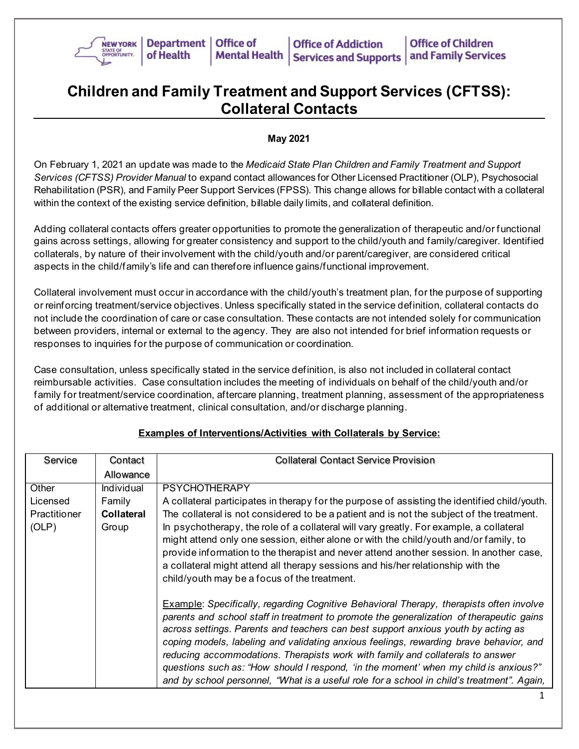

## **Children and Family Treatment and Support Services (CFTSS): Collateral Contacts**

## **May 2021**

On February 1, 2021 an update was made to the *Medicaid State Plan Children and Family Treatment and Support Services (CFTSS) Provider Manual* to expand contact allowances for Other Licensed Practitioner (OLP), Psychosocial Rehabilitation (PSR), and Family Peer Support Services (FPSS). This change allows for billable contact with a collateral within the context of the existing service definition, billable daily limits, and collateral definition.

Adding collateral contacts offers greater opportunities to promote the generalization of therapeutic and/or functional gains across settings, allowing for greater consistency and support to the child/youth and family/caregiver. Identified collaterals, by nature of their involvement with the child/youth and/or parent/caregiver, are considered critical aspects in the child/family's life and can therefore influence gains/functional improvement.

Collateral involvement must occur in accordance with the child/youth's treatment plan, for the purpose of supporting or reinforcing treatment/service objectives. Unless specifically stated in the service definition, collateral contacts do not include the coordination of care or case consultation. These contacts are not intended solely for communication between providers, internal or external to the agency. They are also not intended for brief information requests or responses to inquiries for the purpose of communication or coordination.

Case consultation, unless specifically stated in the service definition, is also not included in collateral contact reimbursable activities. Case consultation includes the meeting of individuals on behalf of the child/youth and/or family for treatment/service coordination, aftercare planning, treatment planning, assessment of the appropriateness of additional or alternative treatment, clinical consultation, and/or discharge planning.

| Service             | Contact           | <b>Collateral Contact Service Provision</b>                                                                                                                                                                                                                                                                                                                                                                                                                                                                                                                                                                                                       |
|---------------------|-------------------|---------------------------------------------------------------------------------------------------------------------------------------------------------------------------------------------------------------------------------------------------------------------------------------------------------------------------------------------------------------------------------------------------------------------------------------------------------------------------------------------------------------------------------------------------------------------------------------------------------------------------------------------------|
|                     | Allowance         |                                                                                                                                                                                                                                                                                                                                                                                                                                                                                                                                                                                                                                                   |
| Other               | <b>Individual</b> | <b>PSYCHOTHERAPY</b>                                                                                                                                                                                                                                                                                                                                                                                                                                                                                                                                                                                                                              |
| Licensed            | Family            | A collateral participates in therapy for the purpose of assisting the identified child/youth.                                                                                                                                                                                                                                                                                                                                                                                                                                                                                                                                                     |
| <b>Practitioner</b> | <b>Collateral</b> | The collateral is not considered to be a patient and is not the subject of the treatment.                                                                                                                                                                                                                                                                                                                                                                                                                                                                                                                                                         |
| (OLP)               | Group             | In psychotherapy, the role of a collateral will vary greatly. For example, a collateral<br>might attend only one session, either alone or with the child/youth and/or family, to<br>provide information to the therapist and never attend another session. In another case,<br>a collateral might attend all therapy sessions and his/her relationship with the<br>child/youth may be a focus of the treatment.                                                                                                                                                                                                                                   |
|                     |                   | <b>Example: Specifically, regarding Cognitive Behavioral Therapy, therapists often involve</b><br>parents and school staff in treatment to promote the generalization of therapeutic gains<br>across settings. Parents and teachers can best support anxious youth by acting as<br>coping models, labeling and validating anxious feelings, rewarding brave behavior, and<br>reducing accommodations. Therapists work with family and collaterals to answer<br>questions such as: "How should I respond, 'in the moment' when my child is anxious?"<br>and by school personnel, "What is a useful role for a school in child's treatment". Again, |

## **Examples of Interventions/Activities with Collaterals by Service:**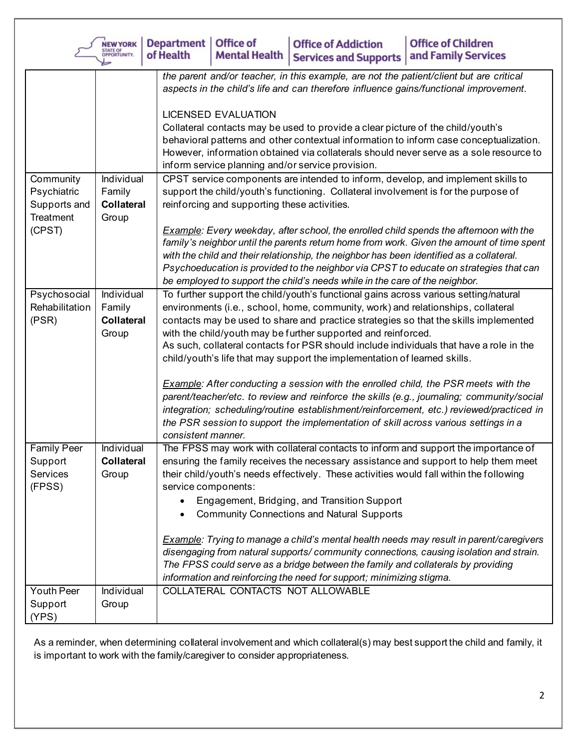|                                                            | <b>NEW YORK</b><br>STATE OF<br>OPPORTUNITY.            | Department<br><b>Office of</b><br><b>Office of Children</b><br><b>Office of Addiction</b><br>of Health<br><b>Mental Health</b><br>and Family Services<br><b>Services and Supports</b>                                                                                                                                                                                                                                                                                                                                                                                                                                                                                                                                                                                                                                                                                                                          |
|------------------------------------------------------------|--------------------------------------------------------|----------------------------------------------------------------------------------------------------------------------------------------------------------------------------------------------------------------------------------------------------------------------------------------------------------------------------------------------------------------------------------------------------------------------------------------------------------------------------------------------------------------------------------------------------------------------------------------------------------------------------------------------------------------------------------------------------------------------------------------------------------------------------------------------------------------------------------------------------------------------------------------------------------------|
| Community<br>Psychiatric                                   | Individual<br>Family                                   | the parent and/or teacher, in this example, are not the patient/client but are critical<br>aspects in the child's life and can therefore influence gains/functional improvement.<br><b>LICENSED EVALUATION</b><br>Collateral contacts may be used to provide a clear picture of the child/youth's<br>behavioral patterns and other contextual information to inform case conceptualization.<br>However, information obtained via collaterals should never serve as a sole resource to<br>inform service planning and/or service provision.<br>CPST service components are intended to inform, develop, and implement skills to<br>support the child/youth's functioning. Collateral involvement is for the purpose of                                                                                                                                                                                          |
| Supports and<br>Treatment<br>(CPST)                        | <b>Collateral</b><br>Group                             | reinforcing and supporting these activities.<br>Example: Every weekday, after school, the enrolled child spends the afternoon with the<br>family's neighbor until the parents return home from work. Given the amount of time spent<br>with the child and their relationship, the neighbor has been identified as a collateral.<br>Psychoeducation is provided to the neighbor via CPST to educate on strategies that can<br>be employed to support the child's needs while in the care of the neighbor.                                                                                                                                                                                                                                                                                                                                                                                                       |
| Psychosocial<br>Rehabilitation<br>(PSR)                    | Individual<br>Family<br><b>Collateral</b><br>Group     | To further support the child/youth's functional gains across various setting/natural<br>environments (i.e., school, home, community, work) and relationships, collateral<br>contacts may be used to share and practice strategies so that the skills implemented<br>with the child/youth may be further supported and reinforced.<br>As such, collateral contacts for PSR should include individuals that have a role in the<br>child/youth's life that may support the implementation of learned skills.<br><b>Example:</b> After conducting a session with the enrolled child, the PSR meets with the<br>parent/teacher/etc. to review and reinforce the skills (e.g., journaling; community/social<br>integration; scheduling/routine establishment/reinforcement, etc.) reviewed/practiced in<br>the PSR session to support the implementation of skill across various settings in a<br>consistent manner. |
| <b>Family Peer</b><br>Support<br><b>Services</b><br>(FPSS) | Individual<br><b>Collateral</b><br>Group<br>Individual | The FPSS may work with collateral contacts to inform and support the importance of<br>ensuring the family receives the necessary assistance and support to help them meet<br>their child/youth's needs effectively. These activities would fall within the following<br>service components:<br>Engagement, Bridging, and Transition Support<br><b>Community Connections and Natural Supports</b><br><b>Example:</b> Trying to manage a child's mental health needs may result in parent/caregivers<br>disengaging from natural supports/community connections, causing isolation and strain.<br>The FPSS could serve as a bridge between the family and collaterals by providing<br>information and reinforcing the need for support; minimizing stigma.<br>COLLATERAL CONTACTS NOT ALLOWABLE                                                                                                                  |
| Youth Peer<br>Support<br>(YPS)                             | Group                                                  |                                                                                                                                                                                                                                                                                                                                                                                                                                                                                                                                                                                                                                                                                                                                                                                                                                                                                                                |

As a reminder, when determining collateral involvement and which collateral(s) may best support the child and family, it is important to work with the family/caregiver to consider appropriateness.